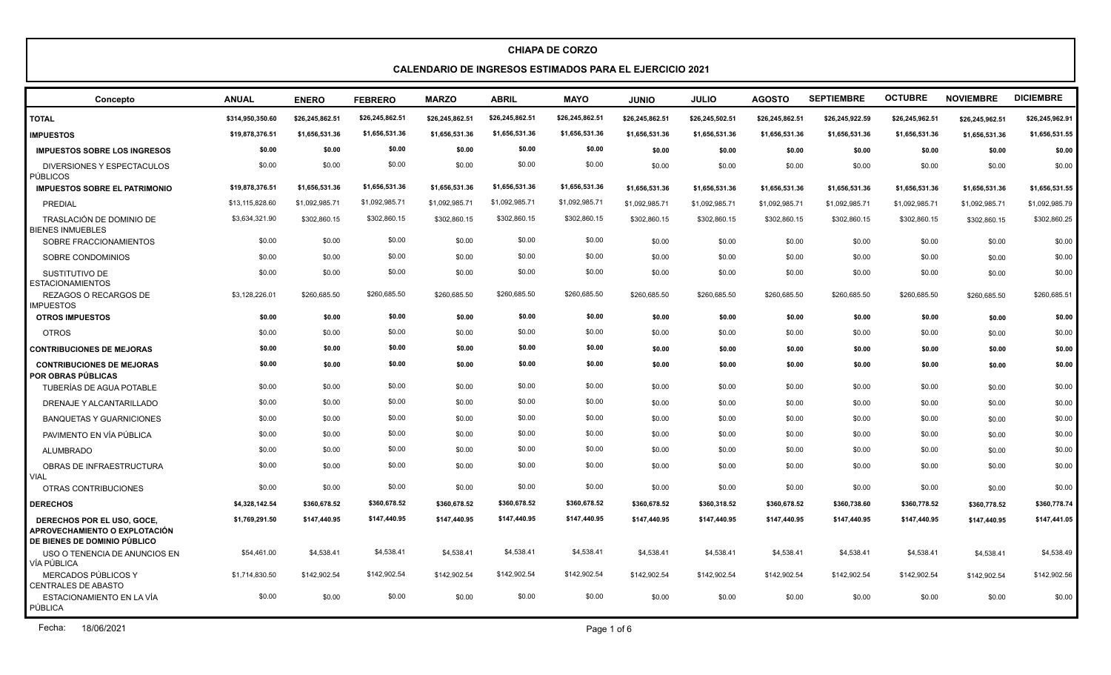#### **CALENDARIO DE INGRESOS ESTIMADOS PARA EL EJERCICIO 2021**

| Concepto                                                                                           | <b>ANUAL</b>     | <b>ENERO</b>    | <b>FEBRERO</b>  | <b>MARZO</b>    | <b>ABRIL</b>    | <b>MAYO</b>     | <b>JUNIO</b>    | <b>JULIO</b>    | <b>AGOSTO</b>   | <b>SEPTIEMBRE</b> | <b>OCTUBRE</b>  | <b>NOVIEMBRE</b> | <b>DICIEMBRE</b> |
|----------------------------------------------------------------------------------------------------|------------------|-----------------|-----------------|-----------------|-----------------|-----------------|-----------------|-----------------|-----------------|-------------------|-----------------|------------------|------------------|
| <b>TOTAL</b>                                                                                       | \$314,950,350.60 | \$26,245,862.51 | \$26,245,862.51 | \$26,245,862.51 | \$26,245,862.51 | \$26,245,862.51 | \$26,245,862.51 | \$26,245,502.51 | \$26,245,862.51 | \$26,245,922.59   | \$26,245,962.51 | \$26,245,962.51  | \$26,245,962.91  |
| <b>IMPUESTOS</b>                                                                                   | \$19,878,376.51  | \$1,656,531.36  | \$1,656,531.36  | \$1,656,531.36  | \$1,656,531.36  | \$1,656,531.36  | \$1,656,531.36  | \$1,656,531.36  | \$1,656,531.36  | \$1,656,531.36    | \$1,656,531.36  | \$1,656,531.36   | \$1,656,531.55   |
| <b>IMPUESTOS SOBRE LOS INGRESOS</b>                                                                | \$0.00           | \$0.00          | \$0.00          | \$0.00          | \$0.00          | \$0.00          | \$0.00          | \$0.00          | \$0.00          | \$0.00            | \$0.00          | \$0.00           | \$0.00           |
| DIVERSIONES Y ESPECTACULOS<br>PÚBLICOS                                                             | \$0.00           | \$0.00          | \$0.00          | \$0.00          | \$0.00          | \$0.00          | \$0.00          | \$0.00          | \$0.00          | \$0.00            | \$0.00          | \$0.00           | \$0.00           |
| <b>IMPUESTOS SOBRE EL PATRIMONIO</b>                                                               | \$19,878,376.51  | \$1,656,531.36  | \$1,656,531.36  | \$1,656,531.36  | \$1,656,531.36  | \$1,656,531.36  | \$1,656,531.36  | \$1,656,531.36  | \$1,656,531.36  | \$1,656,531.36    | \$1,656,531.36  | \$1,656,531.36   | \$1,656,531.55   |
| PREDIAL                                                                                            | \$13,115,828.60  | \$1,092,985.71  | \$1,092,985.71  | \$1,092,985.71  | \$1,092,985.71  | \$1,092,985.71  | \$1,092,985.71  | \$1,092,985.71  | \$1,092,985.71  | \$1,092,985.71    | \$1,092,985.71  | \$1,092,985.71   | \$1,092,985.79   |
| TRASLACIÓN DE DOMINIO DE<br><b>BIENES INMUEBLES</b>                                                | \$3,634,321.90   | \$302,860.15    | \$302,860.15    | \$302,860.15    | \$302,860.15    | \$302,860.15    | \$302,860.15    | \$302,860.15    | \$302,860.15    | \$302,860.15      | \$302,860.15    | \$302,860.15     | \$302,860.25     |
| SOBRE FRACCIONAMIENTOS                                                                             | \$0.00           | \$0.00          | \$0.00          | \$0.00          | \$0.00          | \$0.00          | \$0.00          | \$0.00          | \$0.00          | \$0.00            | \$0.00          | \$0.00           | \$0.00           |
| SOBRE CONDOMINIOS                                                                                  | \$0.00           | \$0.00          | \$0.00          | \$0.00          | \$0.00          | \$0.00          | \$0.00          | \$0.00          | \$0.00          | \$0.00            | \$0.00          | \$0.00           | \$0.00           |
| SUSTITUTIVO DE<br><b>ESTACIONAMIENTOS</b>                                                          | \$0.00           | \$0.00          | \$0.00          | \$0.00          | \$0.00          | \$0.00          | \$0.00          | \$0.00          | \$0.00          | \$0.00            | \$0.00          | \$0.00           | \$0.00           |
| <b>REZAGOS O RECARGOS DE</b><br><b>IMPUESTOS</b>                                                   | \$3,128,226.01   | \$260,685.50    | \$260,685.50    | \$260,685.50    | \$260,685.50    | \$260,685.50    | \$260,685.50    | \$260,685.50    | \$260,685.50    | \$260,685.50      | \$260,685.50    | \$260,685.50     | \$260,685.51     |
| <b>OTROS IMPUESTOS</b>                                                                             | \$0.00           | \$0.00          | \$0.00          | \$0.00          | \$0.00          | \$0.00          | \$0.00          | \$0.00          | \$0.00          | \$0.00            | \$0.00          | \$0.00           | \$0.00           |
| <b>OTROS</b>                                                                                       | \$0.00           | \$0.00          | \$0.00          | \$0.00          | \$0.00          | \$0.00          | \$0.00          | \$0.00          | \$0.00          | \$0.00            | \$0.00          | \$0.00           | \$0.00           |
| <b>CONTRIBUCIONES DE MEJORAS</b>                                                                   | \$0.00           | \$0.00          | \$0.00          | \$0.00          | \$0.00          | \$0.00          | \$0.00          | \$0.00          | \$0.00          | \$0.00            | \$0.00          | \$0.00           | \$0.00           |
| <b>CONTRIBUCIONES DE MEJORAS</b><br>  POR OBRAS PÚBLICAS                                           | \$0.00           | \$0.00          | \$0.00          | \$0.00          | \$0.00          | \$0.00          | \$0.00          | \$0.00          | \$0.00          | \$0.00            | \$0.00          | \$0.00           | \$0.00           |
| TUBERÍAS DE AGUA POTABLE                                                                           | \$0.00           | \$0.00          | \$0.00          | \$0.00          | \$0.00          | \$0.00          | \$0.00          | \$0.00          | \$0.00          | \$0.00            | \$0.00          | \$0.00           | \$0.00           |
| DRENAJE Y ALCANTARILLADO                                                                           | \$0.00           | \$0.00          | \$0.00          | \$0.00          | \$0.00          | \$0.00          | \$0.00          | \$0.00          | \$0.00          | \$0.00            | \$0.00          | \$0.00           | \$0.00           |
| <b>BANQUETAS Y GUARNICIONES</b>                                                                    | \$0.00           | \$0.00          | \$0.00          | \$0.00          | \$0.00          | \$0.00          | \$0.00          | \$0.00          | \$0.00          | \$0.00            | \$0.00          | \$0.00           | \$0.00           |
| PAVIMENTO EN VÍA PÚBLICA                                                                           | \$0.00           | \$0.00          | \$0.00          | \$0.00          | \$0.00          | \$0.00          | \$0.00          | \$0.00          | \$0.00          | \$0.00            | \$0.00          | \$0.00           | \$0.00           |
| <b>ALUMBRADO</b>                                                                                   | \$0.00           | \$0.00          | \$0.00          | \$0.00          | \$0.00          | \$0.00          | \$0.00          | \$0.00          | \$0.00          | \$0.00            | \$0.00          | \$0.00           | \$0.00           |
| OBRAS DE INFRAESTRUCTURA<br><b>VIAL</b>                                                            | \$0.00           | \$0.00          | \$0.00          | \$0.00          | \$0.00          | \$0.00          | \$0.00          | \$0.00          | \$0.00          | \$0.00            | \$0.00          | \$0.00           | \$0.00           |
| OTRAS CONTRIBUCIONES                                                                               | \$0.00           | \$0.00          | \$0.00          | \$0.00          | \$0.00          | \$0.00          | \$0.00          | \$0.00          | \$0.00          | \$0.00            | \$0.00          | \$0.00           | \$0.00           |
| <b>DERECHOS</b>                                                                                    | \$4,328,142.54   | \$360,678.52    | \$360,678.52    | \$360,678.52    | \$360,678.52    | \$360,678.52    | \$360,678.52    | \$360,318.52    | \$360,678.52    | \$360,738.60      | \$360,778.52    | \$360,778.52     | \$360,778.74     |
| DERECHOS POR EL USO, GOCE,<br>APROVECHAMIENTO O EXPLOTACIÓN<br><b>DE BIENES DE DOMINIO PÚBLICO</b> | \$1,769,291.50   | \$147,440.95    | \$147,440.95    | \$147,440.95    | \$147,440.95    | \$147,440.95    | \$147,440.95    | \$147,440.95    | \$147,440.95    | \$147,440.95      | \$147,440.95    | \$147,440.95     | \$147,441.05     |
| USO O TENENCIA DE ANUNCIOS EN<br>VÍA PÚBLICA                                                       | \$54,461.00      | \$4,538.41      | \$4,538.41      | \$4,538.41      | \$4,538.41      | \$4,538.41      | \$4,538.41      | \$4,538.41      | \$4,538.41      | \$4,538.41        | \$4,538.41      | \$4,538.41       | \$4,538.49       |
| MERCADOS PÚBLICOS Y<br>CENTRALES DE ABASTO                                                         | \$1,714,830.50   | \$142,902.54    | \$142,902.54    | \$142,902.54    | \$142,902.54    | \$142,902.54    | \$142,902.54    | \$142,902.54    | \$142,902.54    | \$142,902.54      | \$142,902.54    | \$142,902.54     | \$142,902.56     |
| ESTACIONAMIENTO EN LA VÍA<br>PÚBLICA                                                               | \$0.00           | \$0.00          | \$0.00          | \$0.00          | \$0.00          | \$0.00          | \$0.00          | \$0.00          | \$0.00          | \$0.00            | \$0.00          | \$0.00           | \$0.00           |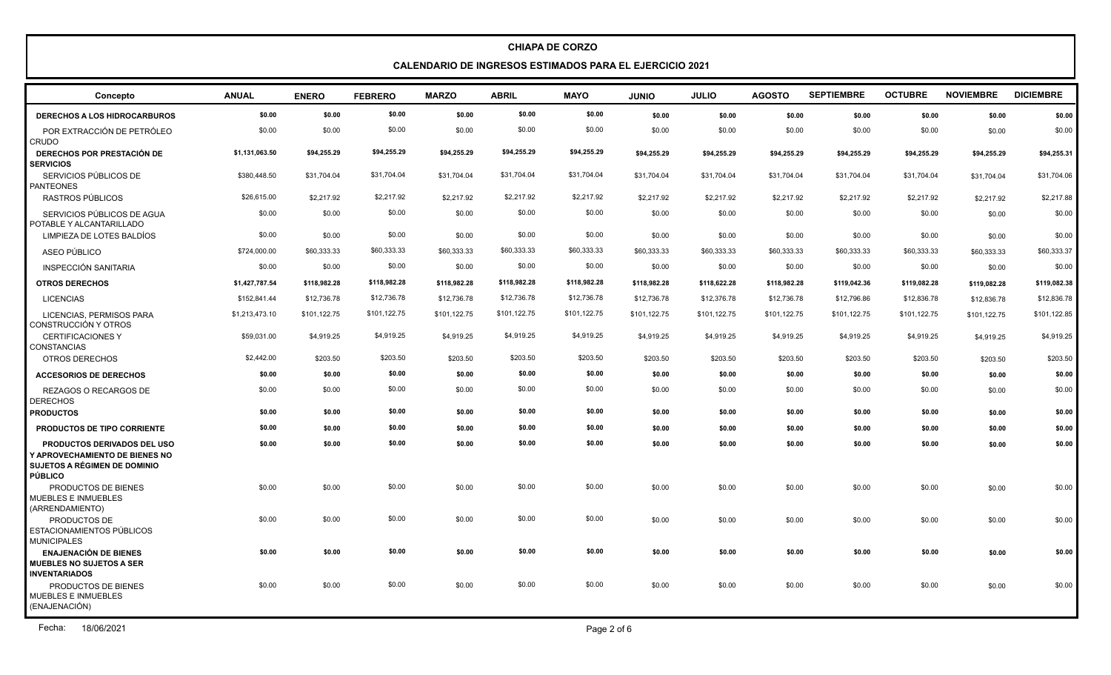**CALENDARIO DE INGRESOS ESTIMADOS PARA EL EJERCICIO 2021**

| Concepto                                                                                                               | <b>ANUAL</b>   | <b>ENERO</b> | <b>FEBRERO</b> | <b>MARZO</b> | <b>ABRIL</b> | <b>MAYO</b>  | <b>JUNIO</b> | <b>JULIO</b> | <b>AGOSTO</b> | <b>SEPTIEMBRE</b> | <b>OCTUBRE</b> | <b>NOVIEMBRE</b> | <b>DICIEMBRE</b> |
|------------------------------------------------------------------------------------------------------------------------|----------------|--------------|----------------|--------------|--------------|--------------|--------------|--------------|---------------|-------------------|----------------|------------------|------------------|
| <b>DERECHOS A LOS HIDROCARBUROS</b>                                                                                    | \$0.00         | \$0.00       | \$0.00         | \$0.00       | \$0.00       | \$0.00       | \$0.00       | \$0.00       | \$0.00        | \$0.00            | \$0.00         | \$0.00           | \$0.00           |
| POR EXTRACCIÓN DE PETRÓLEO<br><b>CRUDO</b>                                                                             | \$0.00         | \$0.00       | \$0.00         | \$0.00       | \$0.00       | \$0.00       | \$0.00       | \$0.00       | \$0.00        | \$0.00            | \$0.00         | \$0.00           | \$0.00           |
| <b>DERECHOS POR PRESTACIÓN DE</b><br><b>SERVICIOS</b>                                                                  | \$1,131,063.50 | \$94.255.29  | \$94,255.29    | \$94,255.29  | \$94,255.29  | \$94,255.29  | \$94.255.29  | \$94,255.29  | \$94.255.29   | \$94,255.29       | \$94,255.29    | \$94,255.29      | \$94,255.31      |
| SERVICIOS PÚBLICOS DE<br><b>PANTEONES</b>                                                                              | \$380,448.50   | \$31,704.04  | \$31,704.04    | \$31,704.04  | \$31,704.04  | \$31,704.04  | \$31,704.04  | \$31,704.04  | \$31,704.04   | \$31,704.04       | \$31,704.04    | \$31,704.04      | \$31,704.06      |
| RASTROS PÚBLICOS                                                                                                       | \$26,615.00    | \$2,217.92   | \$2,217.92     | \$2,217.92   | \$2,217.92   | \$2,217.92   | \$2,217.92   | \$2,217.92   | \$2,217.92    | \$2,217.92        | \$2,217.92     | \$2,217.92       | \$2,217.88       |
| SERVICIOS PÚBLICOS DE AGUA<br>POTABLE Y ALCANTARILLADO                                                                 | \$0.00         | \$0.00       | \$0.00         | \$0.00       | \$0.00       | \$0.00       | \$0.00       | \$0.00       | \$0.00        | \$0.00            | \$0.00         | \$0.00           | \$0.00           |
| LIMPIEZA DE LOTES BALDÍOS                                                                                              | \$0.00         | \$0.00       | \$0.00         | \$0.00       | \$0.00       | \$0.00       | \$0.00       | \$0.00       | \$0.00        | \$0.00            | \$0.00         | \$0.00           | \$0.00           |
| ASEO PÚBLICO                                                                                                           | \$724,000.00   | \$60,333.33  | \$60,333.33    | \$60,333.33  | \$60,333.33  | \$60,333.33  | \$60,333.33  | \$60,333.33  | \$60,333.33   | \$60,333.33       | \$60,333.33    | \$60,333.33      | \$60,333.37      |
| INSPECCIÓN SANITARIA                                                                                                   | \$0.00         | \$0.00       | \$0.00         | \$0.00       | \$0.00       | \$0.00       | \$0.00       | \$0.00       | \$0.00        | \$0.00            | \$0.00         | \$0.00           | \$0.00           |
| <b>OTROS DERECHOS</b>                                                                                                  | \$1,427,787.54 | \$118,982.28 | \$118,982.28   | \$118,982.28 | \$118,982.28 | \$118,982.28 | \$118,982.28 | \$118,622.28 | \$118,982.28  | \$119,042.36      | \$119,082.28   | \$119,082.28     | \$119,082.38     |
| <b>LICENCIAS</b>                                                                                                       | \$152,841.44   | \$12,736.78  | \$12,736.78    | \$12,736.78  | \$12,736.78  | \$12,736.78  | \$12,736.78  | \$12,376.78  | \$12,736.78   | \$12,796.86       | \$12,836.78    | \$12,836.78      | \$12,836.78      |
| LICENCIAS, PERMISOS PARA<br>CONSTRUCCIÓN Y OTROS                                                                       | \$1,213,473.10 | \$101,122.75 | \$101,122.75   | \$101,122.75 | \$101,122.75 | \$101,122.75 | \$101,122.75 | \$101,122.75 | \$101,122.75  | \$101,122.75      | \$101,122.75   | \$101,122.75     | \$101,122.85     |
| <b>CERTIFICACIONES Y</b><br>CONSTANCIAS                                                                                | \$59,031.00    | \$4,919.25   | \$4,919.25     | \$4,919.25   | \$4,919.25   | \$4,919.25   | \$4,919.25   | \$4,919.25   | \$4,919.25    | \$4,919.25        | \$4,919.25     | \$4,919.25       | \$4,919.25       |
| OTROS DERECHOS                                                                                                         | \$2,442.00     | \$203.50     | \$203.50       | \$203.50     | \$203.50     | \$203.50     | \$203.50     | \$203.50     | \$203.50      | \$203.50          | \$203.50       | \$203.50         | \$203.50         |
| <b>ACCESORIOS DE DERECHOS</b>                                                                                          | \$0.00         | \$0.00       | \$0.00         | \$0.00       | \$0.00       | \$0.00       | \$0.00       | \$0.00       | \$0.00        | \$0.00            | \$0.00         | \$0.00           | \$0.00           |
| REZAGOS O RECARGOS DE<br><b>DERECHOS</b>                                                                               | \$0.00         | \$0.00       | \$0.00         | \$0.00       | \$0.00       | \$0.00       | \$0.00       | \$0.00       | \$0.00        | \$0.00            | \$0.00         | \$0.00           | \$0.00           |
| <b>PRODUCTOS</b>                                                                                                       | \$0.00         | \$0.00       | \$0.00         | \$0.00       | \$0.00       | \$0.00       | \$0.00       | \$0.00       | \$0.00        | \$0.00            | \$0.00         | \$0.00           | \$0.00           |
| PRODUCTOS DE TIPO CORRIENTE                                                                                            | \$0.00         | \$0.00       | \$0.00         | \$0.00       | \$0.00       | \$0.00       | \$0.00       | \$0.00       | \$0.00        | \$0.00            | \$0.00         | \$0.00           | \$0.00           |
| <b>PRODUCTOS DERIVADOS DEL USO</b><br>Y APROVECHAMIENTO DE BIENES NO<br>SUJETOS A RÉGIMEN DE DOMINIO<br><b>PÚBLICO</b> | \$0.00         | \$0.00       | \$0.00         | \$0.00       | \$0.00       | \$0.00       | \$0.00       | \$0.00       | \$0.00        | \$0.00            | \$0.00         | \$0.00           | \$0.00           |
| PRODUCTOS DE BIENES<br><b>MUEBLES E INMUEBLES</b><br>(ARRENDAMIENTO)                                                   | \$0.00         | \$0.00       | \$0.00         | \$0.00       | \$0.00       | \$0.00       | \$0.00       | \$0.00       | \$0.00        | \$0.00            | \$0.00         | \$0.00           | \$0.00           |
| <b>PRODUCTOS DE</b><br>ESTACIONAMIENTOS PÚBLICOS<br><b>MUNICIPALES</b>                                                 | \$0.00         | \$0.00       | \$0.00         | \$0.00       | \$0.00       | \$0.00       | \$0.00       | \$0.00       | \$0.00        | \$0.00            | \$0.00         | \$0.00           | \$0.00           |
| <b>ENAJENACIÓN DE BIENES</b><br><b>MUEBLES NO SUJETOS A SER</b><br><b>INVENTARIADOS</b>                                | \$0.00         | \$0.00       | \$0.00         | \$0.00       | \$0.00       | \$0.00       | \$0.00       | \$0.00       | \$0.00        | \$0.00            | \$0.00         | \$0.00           | \$0.00           |
| PRODUCTOS DE BIENES<br><b>MUEBLES E INMUEBLES</b><br>(ENAJENACIÓN)                                                     | \$0.00         | \$0.00       | \$0.00         | \$0.00       | \$0.00       | \$0.00       | \$0.00       | \$0.00       | \$0.00        | \$0.00            | \$0.00         | \$0.00           | \$0.00           |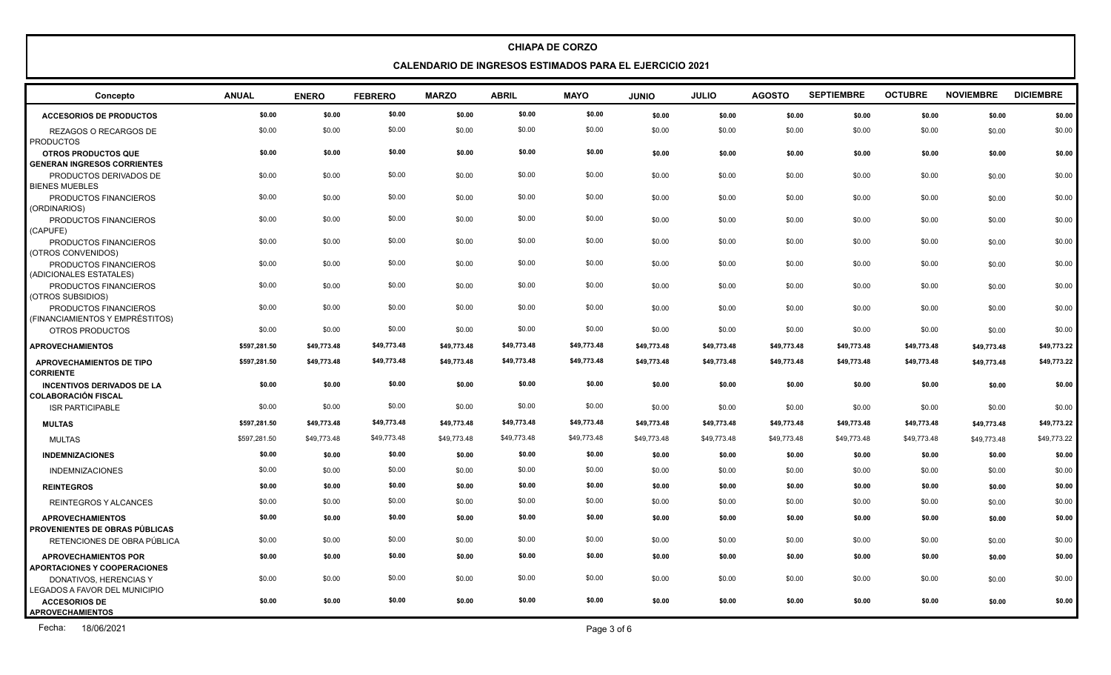**CALENDARIO DE INGRESOS ESTIMADOS PARA EL EJERCICIO 2021**

| Concepto                                                           | <b>ANUAL</b> | <b>ENERO</b> | <b>FEBRERO</b> | <b>MARZO</b> | <b>ABRIL</b> | <b>MAYO</b> | <b>JUNIO</b> | <b>JULIO</b> | <b>AGOSTO</b> | <b>SEPTIEMBRE</b> | <b>OCTUBRE</b> | <b>NOVIEMBRE</b> | <b>DICIEMBRE</b> |
|--------------------------------------------------------------------|--------------|--------------|----------------|--------------|--------------|-------------|--------------|--------------|---------------|-------------------|----------------|------------------|------------------|
| <b>ACCESORIOS DE PRODUCTOS</b>                                     | \$0.00       | \$0.00       | \$0.00         | \$0.00       | \$0.00       | \$0.00      | \$0.00       | \$0.00       | \$0.00        | \$0.00            | \$0.00         | \$0.00           | \$0.00           |
| REZAGOS O RECARGOS DE<br><b>PRODUCTOS</b>                          | \$0.00       | \$0.00       | \$0.00         | \$0.00       | \$0.00       | \$0.00      | \$0.00       | \$0.00       | \$0.00        | \$0.00            | \$0.00         | \$0.00           | \$0.00           |
| <b>OTROS PRODUCTOS QUE</b>                                         | \$0.00       | \$0.00       | \$0.00         | \$0.00       | \$0.00       | \$0.00      | \$0.00       | \$0.00       | \$0.00        | \$0.00            | \$0.00         | \$0.00           | \$0.00           |
| <b>GENERAN INGRESOS CORRIENTES</b>                                 |              |              |                |              |              |             |              |              |               |                   |                |                  |                  |
| PRODUCTOS DERIVADOS DE<br><b>BIENES MUEBLES</b>                    | \$0.00       | \$0.00       | \$0.00         | \$0.00       | \$0.00       | \$0.00      | \$0.00       | \$0.00       | \$0.00        | \$0.00            | \$0.00         | \$0.00           | \$0.00           |
| PRODUCTOS FINANCIEROS<br>(ORDINARIOS)                              | \$0.00       | \$0.00       | \$0.00         | \$0.00       | \$0.00       | \$0.00      | \$0.00       | \$0.00       | \$0.00        | \$0.00            | \$0.00         | \$0.00           | \$0.00           |
| PRODUCTOS FINANCIEROS<br>(CAPUFE)                                  | \$0.00       | \$0.00       | \$0.00         | \$0.00       | \$0.00       | \$0.00      | \$0.00       | \$0.00       | \$0.00        | \$0.00            | \$0.00         | \$0.00           | \$0.00           |
| PRODUCTOS FINANCIEROS<br>(OTROS CONVENIDOS)                        | \$0.00       | \$0.00       | \$0.00         | \$0.00       | \$0.00       | \$0.00      | \$0.00       | \$0.00       | \$0.00        | \$0.00            | \$0.00         | \$0.00           | \$0.00           |
| PRODUCTOS FINANCIEROS<br>(ADICIONALES ESTATALES)                   | \$0.00       | \$0.00       | \$0.00         | \$0.00       | \$0.00       | \$0.00      | \$0.00       | \$0.00       | \$0.00        | \$0.00            | \$0.00         | \$0.00           | \$0.00           |
| PRODUCTOS FINANCIEROS<br>(OTROS SUBSIDIOS)                         | \$0.00       | \$0.00       | \$0.00         | \$0.00       | \$0.00       | \$0.00      | \$0.00       | \$0.00       | \$0.00        | \$0.00            | \$0.00         | \$0.00           | \$0.00           |
| PRODUCTOS FINANCIEROS<br>(FINANCIAMIENTOS Y EMPRÉSTITOS)           | \$0.00       | \$0.00       | \$0.00         | \$0.00       | \$0.00       | \$0.00      | \$0.00       | \$0.00       | \$0.00        | \$0.00            | \$0.00         | \$0.00           | \$0.00           |
| OTROS PRODUCTOS                                                    | \$0.00       | \$0.00       | \$0.00         | \$0.00       | \$0.00       | \$0.00      | \$0.00       | \$0.00       | \$0.00        | \$0.00            | \$0.00         | \$0.00           | \$0.00           |
| <b>APROVECHAMIENTOS</b>                                            | \$597,281.50 | \$49,773.48  | \$49,773.48    | \$49,773.48  | \$49,773.48  | \$49,773.48 | \$49,773.48  | \$49,773.48  | \$49,773.48   | \$49,773.48       | \$49,773.48    | \$49,773.48      | \$49,773.22      |
| <b>APROVECHAMIENTOS DE TIPO</b><br><b>CORRIENTE</b>                | \$597,281.50 | \$49,773.48  | \$49,773.48    | \$49,773.48  | \$49,773.48  | \$49,773.48 | \$49,773.48  | \$49,773.48  | \$49,773.48   | \$49,773.48       | \$49,773.48    | \$49,773.48      | \$49,773.22      |
| <b>INCENTIVOS DERIVADOS DE LA</b><br>COLABORACIÓN FISCAL           | \$0.00       | \$0.00       | \$0.00         | \$0.00       | \$0.00       | \$0.00      | \$0.00       | \$0.00       | \$0.00        | \$0.00            | \$0.00         | \$0.00           | \$0.00           |
| <b>ISR PARTICIPABLE</b>                                            | \$0.00       | \$0.00       | \$0.00         | \$0.00       | \$0.00       | \$0.00      | \$0.00       | \$0.00       | \$0.00        | \$0.00            | \$0.00         | \$0.00           | \$0.00           |
| <b>MULTAS</b>                                                      | \$597,281.50 | \$49,773.48  | \$49,773.48    | \$49,773.48  | \$49,773.48  | \$49,773.48 | \$49,773.48  | \$49,773.48  | \$49,773.48   | \$49,773.48       | \$49,773.48    | \$49,773.48      | \$49,773.22      |
| <b>MULTAS</b>                                                      | \$597,281.50 | \$49,773.48  | \$49,773.48    | \$49,773.48  | \$49,773.48  | \$49,773.48 | \$49,773.48  | \$49,773.48  | \$49,773.48   | \$49,773.48       | \$49,773.48    | \$49,773.48      | \$49,773.22      |
| <b>INDEMNIZACIONES</b>                                             | \$0.00       | \$0.00       | \$0.00         | \$0.00       | \$0.00       | \$0.00      | \$0.00       | \$0.00       | \$0.00        | \$0.00            | \$0.00         | \$0.00           | \$0.00           |
| <b>INDEMNIZACIONES</b>                                             | \$0.00       | \$0.00       | \$0.00         | \$0.00       | \$0.00       | \$0.00      | \$0.00       | \$0.00       | \$0.00        | \$0.00            | \$0.00         | \$0.00           | \$0.00           |
| <b>REINTEGROS</b>                                                  | \$0.00       | \$0.00       | \$0.00         | \$0.00       | \$0.00       | \$0.00      | \$0.00       | \$0.00       | \$0.00        | \$0.00            | \$0.00         | \$0.00           | \$0.00           |
| <b>REINTEGROS Y ALCANCES</b>                                       | \$0.00       | \$0.00       | \$0.00         | \$0.00       | \$0.00       | \$0.00      | \$0.00       | \$0.00       | \$0.00        | \$0.00            | \$0.00         | \$0.00           | \$0.00           |
| <b>APROVECHAMIENTOS</b><br>PROVENIENTES DE OBRAS PÚBLICAS          | \$0.00       | \$0.00       | \$0.00         | \$0.00       | \$0.00       | \$0.00      | \$0.00       | \$0.00       | \$0.00        | \$0.00            | \$0.00         | \$0.00           | \$0.00           |
| RETENCIONES DE OBRA PÚBLICA                                        | \$0.00       | \$0.00       | \$0.00         | \$0.00       | \$0.00       | \$0.00      | \$0.00       | \$0.00       | \$0.00        | \$0.00            | \$0.00         | \$0.00           | \$0.00           |
| <b>APROVECHAMIENTOS POR</b><br><b>APORTACIONES Y COOPERACIONES</b> | \$0.00       | \$0.00       | \$0.00         | \$0.00       | \$0.00       | \$0.00      | \$0.00       | \$0.00       | \$0.00        | \$0.00            | \$0.00         | \$0.00           | \$0.00           |
| DONATIVOS, HERENCIAS Y<br>LEGADOS A FAVOR DEL MUNICIPIO            | \$0.00       | \$0.00       | \$0.00         | \$0.00       | \$0.00       | \$0.00      | \$0.00       | \$0.00       | \$0.00        | \$0.00            | \$0.00         | \$0.00           | \$0.00           |
| <b>ACCESORIOS DE</b><br><b>APROVECHAMIENTOS</b>                    | \$0.00       | \$0.00       | \$0.00         | \$0.00       | \$0.00       | \$0.00      | \$0.00       | \$0.00       | \$0.00        | \$0.00            | \$0.00         | \$0.00           | \$0.00           |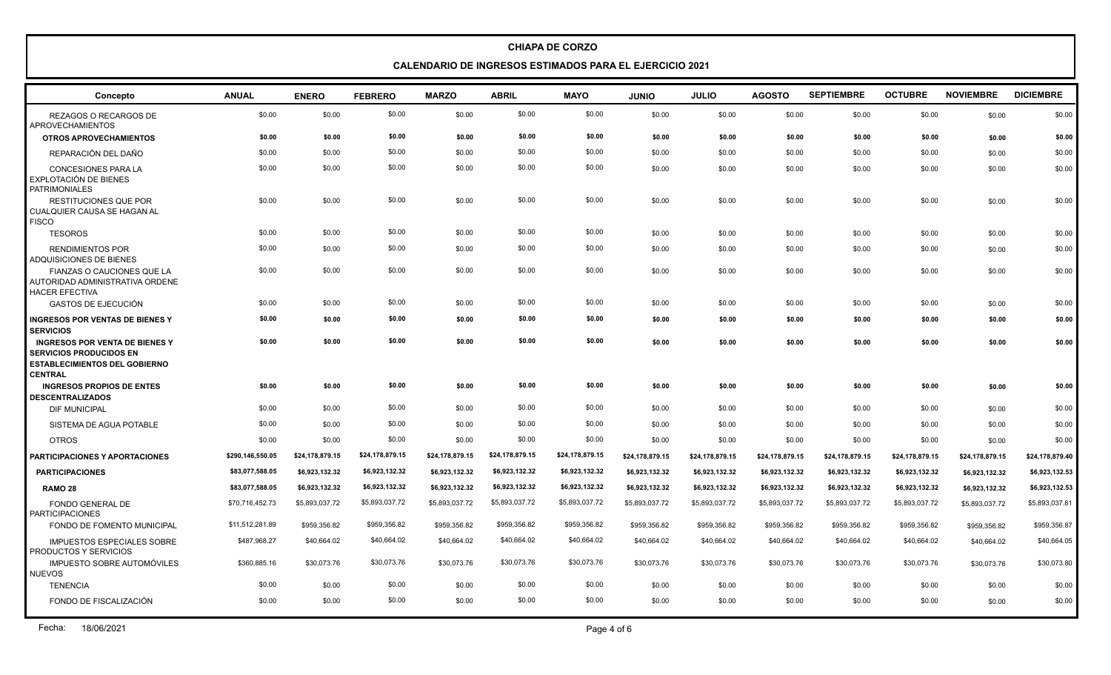**CALENDARIO DE INGRESOS ESTIMADOS PARA EL EJERCICIO 2021**

| Concepto                                                                                                                          | <b>ANUAL</b>     | <b>ENERO</b>    | <b>FEBRERO</b>  | <b>MARZO</b>    | <b>ABRIL</b>    | <b>MAYO</b>     | <b>OINUL</b>    | <b>JULIO</b>    | <b>AGOSTO</b>   | <b>SEPTIEMBRE</b> | <b>OCTUBRE</b>  | <b>NOVIEMBRE</b> | <b>DICIEMBRE</b> |
|-----------------------------------------------------------------------------------------------------------------------------------|------------------|-----------------|-----------------|-----------------|-----------------|-----------------|-----------------|-----------------|-----------------|-------------------|-----------------|------------------|------------------|
| REZAGOS O RECARGOS DE<br><b>APROVECHAMIENTOS</b>                                                                                  | \$0.00           | \$0.00          | \$0.00          | \$0.00          | \$0.00          | \$0.00          | \$0.00          | \$0.00          | \$0.00          | \$0.00            | \$0.00          | \$0.00           | \$0.00           |
| <b>OTROS APROVECHAMIENTOS</b>                                                                                                     | \$0.00           | \$0.00          | \$0.00          | \$0.00          | \$0.00          | \$0.00          | \$0.00          | \$0.00          | \$0.00          | \$0.00            | \$0.00          | \$0.00           | \$0.00           |
| REPARACIÓN DEL DAÑO                                                                                                               | \$0.00           | \$0.00          | \$0.00          | \$0.00          | \$0.00          | \$0.00          | \$0.00          | \$0.00          | \$0.00          | \$0.00            | \$0.00          | \$0.00           | \$0.00           |
| CONCESIONES PARA LA<br>EXPLOTACIÓN DE BIENES<br><b>PATRIMONIALES</b>                                                              | \$0.00           | \$0.00          | \$0.00          | \$0.00          | \$0.00          | \$0.00          | \$0.00          | \$0.00          | \$0.00          | \$0.00            | \$0.00          | \$0.00           | \$0.00           |
| <b>RESTITUCIONES QUE POR</b><br>CUALQUIER CAUSA SE HAGAN AL<br><b>FISCO</b>                                                       | \$0.00           | \$0.00          | \$0.00          | \$0.00          | \$0.00          | \$0.00          | \$0.00          | \$0.00          | \$0.00          | \$0.00            | \$0.00          | \$0.00           | \$0.00           |
| <b>TESOROS</b>                                                                                                                    | \$0.00           | \$0.00          | \$0.00          | \$0.00          | \$0.00          | \$0.00          | \$0.00          | \$0.00          | \$0.00          | \$0.00            | \$0.00          | \$0.00           | \$0.00           |
| <b>RENDIMIENTOS POR</b><br><b>ADQUISICIONES DE BIENES</b>                                                                         | \$0.00           | \$0.00          | \$0.00          | \$0.00          | \$0.00          | \$0.00          | \$0.00          | \$0.00          | \$0.00          | \$0.00            | \$0.00          | \$0.00           | \$0.00           |
| <b>FIANZAS O CAUCIONES QUE LA</b><br>AUTORIDAD ADMINISTRATIVA ORDENE<br><b>HACER EFECTIVA</b>                                     | \$0.00           | \$0.00          | \$0.00          | \$0.00          | \$0.00          | \$0.00          | \$0.00          | \$0.00          | \$0.00          | \$0.00            | \$0.00          | \$0.00           | \$0.00           |
| <b>GASTOS DE EJECUCIÓN</b>                                                                                                        | \$0.00           | \$0.00          | \$0.00          | \$0.00          | \$0.00          | \$0.00          | \$0.00          | \$0.00          | \$0.00          | \$0.00            | \$0.00          | \$0.00           | \$0.00           |
| <b>INGRESOS POR VENTAS DE BIENES Y</b><br><b>SERVICIOS</b>                                                                        | \$0.00           | \$0.00          | \$0.00          | \$0.00          | \$0.00          | \$0.00          | \$0.00          | \$0.00          | \$0.00          | \$0.00            | \$0.00          | \$0.00           | \$0.00           |
| <b>INGRESOS POR VENTA DE BIENES Y</b><br><b>SERVICIOS PRODUCIDOS EN</b><br><b>ESTABLECIMIENTOS DEL GOBIERNO</b><br><b>CENTRAL</b> | \$0.00           | \$0.00          | \$0.00          | \$0.00          | \$0.00          | \$0.00          | \$0.00          | \$0.00          | \$0.00          | \$0.00            | \$0.00          | \$0.00           | \$0.00           |
| <b>INGRESOS PROPIOS DE ENTES</b><br><b>DESCENTRALIZADOS</b>                                                                       | \$0.00           | \$0.00          | \$0.00          | \$0.00          | \$0.00          | \$0.00          | \$0.00          | \$0.00          | \$0.00          | \$0.00            | \$0.00          | \$0.00           | \$0.00           |
| <b>DIF MUNICIPAL</b>                                                                                                              | \$0.00           | \$0.00          | \$0.00          | \$0.00          | \$0.00          | \$0.00          | \$0.00          | \$0.00          | \$0.00          | \$0.00            | \$0.00          | \$0.00           | \$0.00           |
| SISTEMA DE AGUA POTABLE                                                                                                           | \$0.00           | \$0.00          | \$0.00          | \$0.00          | \$0.00          | \$0.00          | \$0.00          | \$0.00          | \$0.00          | \$0.00            | \$0.00          | \$0.00           | \$0.00           |
| <b>OTROS</b>                                                                                                                      | \$0.00           | \$0.00          | \$0.00          | \$0.00          | \$0.00          | \$0.00          | \$0.00          | \$0.00          | \$0.00          | \$0.00            | \$0.00          | \$0.00           | \$0.00           |
| <b>PARTICIPACIONES Y APORTACIONES</b>                                                                                             | \$290,146,550.05 | \$24,178,879.15 | \$24,178,879.15 | \$24,178,879.15 | \$24,178,879.15 | \$24,178,879.15 | \$24,178,879.15 | \$24,178,879.15 | \$24,178,879.15 | \$24,178,879.15   | \$24,178,879.15 | \$24,178,879.15  | \$24,178,879.40  |
| <b>PARTICIPACIONES</b>                                                                                                            | \$83,077,588.05  | \$6,923,132.32  | \$6,923,132.32  | \$6,923,132.32  | \$6,923,132.32  | \$6,923,132.32  | \$6,923,132.32  | \$6,923,132.32  | \$6,923,132.32  | \$6,923,132.32    | \$6,923,132.32  | \$6,923,132.32   | \$6,923,132.53   |
| <b>RAMO 28</b>                                                                                                                    | \$83,077,588.05  | \$6,923,132.32  | \$6,923,132.32  | \$6,923,132.32  | \$6,923,132.32  | \$6,923,132.32  | \$6,923,132.32  | \$6,923,132.32  | \$6,923,132.32  | \$6,923,132.32    | \$6,923,132.32  | \$6,923,132.32   | \$6,923,132.53   |
| <b>FONDO GENERAL DE</b><br><b>PARTICIPACIONES</b>                                                                                 | \$70,716,452.73  | \$5,893,037.72  | \$5,893,037.72  | \$5,893,037.72  | \$5,893,037.72  | \$5,893,037.72  | \$5,893,037.72  | \$5,893,037.72  | \$5,893,037.72  | \$5,893,037.72    | \$5,893,037.72  | \$5,893,037.72   | \$5,893,037.81   |
| FONDO DE FOMENTO MUNICIPAL                                                                                                        | \$11,512,281.89  | \$959,356.82    | \$959,356.82    | \$959,356.82    | \$959,356.82    | \$959,356.82    | \$959,356.82    | \$959,356.82    | \$959,356.82    | \$959,356.82      | \$959,356.82    | \$959,356.82     | \$959,356.87     |
| <b>IMPUESTOS ESPECIALES SOBRE</b><br>PRODUCTOS Y SERVICIOS                                                                        | \$487,968.27     | \$40,664.02     | \$40,664.02     | \$40,664.02     | \$40,664.02     | \$40,664.02     | \$40,664.02     | \$40,664.02     | \$40,664.02     | \$40,664.02       | \$40,664.02     | \$40,664.02      | \$40,664.05      |
| <b>IMPUESTO SOBRE AUTOMÓVILES</b><br><b>NUEVOS</b>                                                                                | \$360,885.16     | \$30,073.76     | \$30,073.76     | \$30,073.76     | \$30,073.76     | \$30,073.76     | \$30,073.76     | \$30,073.76     | \$30,073.76     | \$30,073.76       | \$30,073.76     | \$30,073.76      | \$30,073.80      |
| <b>TENENCIA</b>                                                                                                                   | \$0.00           | \$0.00          | \$0.00          | \$0.00          | \$0.00          | \$0.00          | \$0.00          | \$0.00          | \$0.00          | \$0.00            | \$0.00          | \$0.00           | \$0.00           |
| FONDO DE FISCALIZACIÓN                                                                                                            | \$0.00           | \$0.00          | \$0.00          | \$0.00          | \$0.00          | \$0.00          | \$0.00          | \$0.00          | \$0.00          | \$0.00            | \$0.00          | \$0.00           | \$0.00           |
|                                                                                                                                   |                  |                 |                 |                 |                 |                 |                 |                 |                 |                   |                 |                  |                  |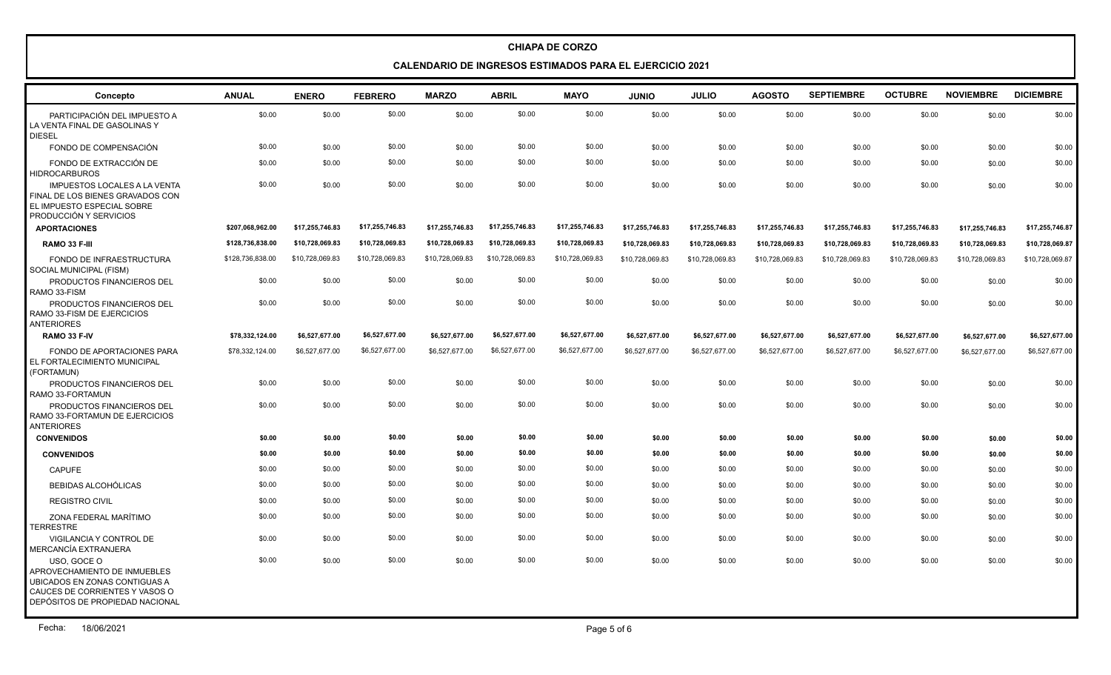#### **CALENDARIO DE INGRESOS ESTIMADOS PARA EL EJERCICIO 2021**

| Concepto                                                                                                                                          | <b>ANUAL</b>     | <b>ENERO</b>    | <b>FEBRERO</b>  | <b>MARZO</b>    | <b>ABRIL</b>    | <b>MAYO</b>     | <b>JUNIO</b>    | <b>JULIO</b>    | <b>AGOSTO</b>   | <b>SEPTIEMBRE</b> | <b>OCTUBRE</b>  | <b>NOVIEMBRE</b> | <b>DICIEMBRE</b> |
|---------------------------------------------------------------------------------------------------------------------------------------------------|------------------|-----------------|-----------------|-----------------|-----------------|-----------------|-----------------|-----------------|-----------------|-------------------|-----------------|------------------|------------------|
| PARTICIPACIÓN DEL IMPUESTO A<br>LA VENTA FINAL DE GASOLINAS Y<br><b>DIESEL</b>                                                                    | \$0.00           | \$0.00          | \$0.00          | \$0.00          | \$0.00          | \$0.00          | \$0.00          | \$0.00          | \$0.00          | \$0.00            | \$0.00          | \$0.00           | \$0.00           |
| FONDO DE COMPENSACIÓN                                                                                                                             | \$0.00           | \$0.00          | \$0.00          | \$0.00          | \$0.00          | \$0.00          | \$0.00          | \$0.00          | \$0.00          | \$0.00            | \$0.00          | \$0.00           | \$0.00           |
| FONDO DE EXTRACCIÓN DE<br><b>HIDROCARBUROS</b>                                                                                                    | \$0.00           | \$0.00          | \$0.00          | \$0.00          | \$0.00          | \$0.00          | \$0.00          | \$0.00          | \$0.00          | \$0.00            | \$0.00          | \$0.00           | \$0.00           |
| <b>IMPUESTOS LOCALES A LA VENTA</b><br>FINAL DE LOS BIENES GRAVADOS CON<br>EL IMPUESTO ESPECIAL SOBRE<br><b>PRODUCCIÓN Y SERVICIOS</b>            | \$0.00           | \$0.00          | \$0.00          | \$0.00          | \$0.00          | \$0.00          | \$0.00          | \$0.00          | \$0.00          | \$0.00            | \$0.00          | \$0.00           | \$0.00           |
| <b>APORTACIONES</b>                                                                                                                               | \$207,068,962.00 | \$17,255,746.83 | \$17,255,746.83 | \$17,255,746.83 | \$17,255,746.83 | \$17,255,746.83 | \$17,255,746.83 | \$17,255,746.83 | \$17,255,746.83 | \$17,255,746.83   | \$17,255,746.83 | \$17,255,746.83  | \$17,255,746.87  |
| RAMO 33 F-III                                                                                                                                     | \$128,736,838.00 | \$10,728,069.83 | \$10,728,069.83 | \$10,728,069.83 | \$10,728,069.83 | \$10,728,069.83 | \$10,728,069.83 | \$10,728,069.83 | \$10,728,069.83 | \$10,728,069.83   | \$10,728,069.83 | \$10,728,069.83  | \$10,728,069.87  |
| FONDO DE INFRAESTRUCTURA<br>SOCIAL MUNICIPAL (FISM)                                                                                               | \$128,736,838.00 | \$10,728,069.83 | \$10,728,069.83 | \$10,728,069.83 | \$10,728,069.83 | \$10,728,069.83 | \$10,728,069.83 | \$10,728,069.83 | \$10,728,069.83 | \$10,728,069.83   | \$10,728,069.83 | \$10,728,069.83  | \$10,728,069.87  |
| PRODUCTOS FINANCIEROS DEL<br>RAMO 33-FISM                                                                                                         | \$0.00           | \$0.00          | \$0.00          | \$0.00          | \$0.00          | \$0.00          | \$0.00          | \$0.00          | \$0.00          | \$0.00            | \$0.00          | \$0.00           | \$0.00           |
| PRODUCTOS FINANCIEROS DEL<br>RAMO 33-FISM DE EJERCICIOS<br><b>ANTERIORES</b>                                                                      | \$0.00           | \$0.00          | \$0.00          | \$0.00          | \$0.00          | \$0.00          | \$0.00          | \$0.00          | \$0.00          | \$0.00            | \$0.00          | \$0.00           | \$0.00           |
| RAMO 33 F-IV                                                                                                                                      | \$78,332,124.00  | \$6,527,677.00  | \$6,527,677.00  | \$6,527,677.00  | \$6,527,677.00  | \$6,527,677.00  | \$6,527,677.00  | \$6,527,677.00  | \$6,527,677.00  | \$6,527,677.00    | \$6,527,677.00  | \$6,527,677.00   | \$6,527,677.00   |
| FONDO DE APORTACIONES PARA<br><b>EL FORTALECIMIENTO MUNICIPAL</b><br>(FORTAMUN)                                                                   | \$78,332,124.00  | \$6,527,677.00  | \$6,527,677.00  | \$6,527,677.00  | \$6,527,677.00  | \$6,527,677.00  | \$6,527,677.00  | \$6,527,677.00  | \$6,527,677.00  | \$6,527,677.00    | \$6,527,677.00  | \$6,527,677.00   | \$6,527,677.00   |
| PRODUCTOS FINANCIEROS DEL<br>RAMO 33-FORTAMUN                                                                                                     | \$0.00           | \$0.00          | \$0.00          | \$0.00          | \$0.00          | \$0.00          | \$0.00          | \$0.00          | \$0.00          | \$0.00            | \$0.00          | \$0.00           | \$0.00           |
| PRODUCTOS FINANCIEROS DEL<br>RAMO 33-FORTAMUN DE EJERCICIOS<br><b>ANTERIORES</b>                                                                  | \$0.00           | \$0.00          | \$0.00          | \$0.00          | \$0.00          | \$0.00          | \$0.00          | \$0.00          | \$0.00          | \$0.00            | \$0.00          | \$0.00           | \$0.00           |
| <b>CONVENIDOS</b>                                                                                                                                 | \$0.00           | \$0.00          | \$0.00          | \$0.00          | \$0.00          | \$0.00          | \$0.00          | \$0.00          | \$0.00          | \$0.00            | \$0.00          | \$0.00           | \$0.00           |
| <b>CONVENIDOS</b>                                                                                                                                 | \$0.00           | \$0.00          | \$0.00          | \$0.00          | \$0.00          | \$0.00          | \$0.00          | \$0.00          | \$0.00          | \$0.00            | \$0.00          | \$0.00           | \$0.00           |
| <b>CAPUFE</b>                                                                                                                                     | \$0.00           | \$0.00          | \$0.00          | \$0.00          | \$0.00          | \$0.00          | \$0.00          | \$0.00          | \$0.00          | \$0.00            | \$0.00          | \$0.00           | \$0.00           |
| <b>BEBIDAS ALCOHÓLICAS</b>                                                                                                                        | \$0.00           | \$0.00          | \$0.00          | \$0.00          | \$0.00          | \$0.00          | \$0.00          | \$0.00          | \$0.00          | \$0.00            | \$0.00          | \$0.00           | \$0.00           |
| <b>REGISTRO CIVIL</b>                                                                                                                             | \$0.00           | \$0.00          | \$0.00          | \$0.00          | \$0.00          | \$0.00          | \$0.00          | \$0.00          | \$0.00          | \$0.00            | \$0.00          | \$0.00           | \$0.00           |
| ZONA FEDERAL MARÍTIMO<br><b>TERRESTRE</b>                                                                                                         | \$0.00           | \$0.00          | \$0.00          | \$0.00          | \$0.00          | \$0.00          | \$0.00          | \$0.00          | \$0.00          | \$0.00            | \$0.00          | \$0.00           | \$0.00           |
| VIGILANCIA Y CONTROL DE<br>MERCANCÍA EXTRANJERA                                                                                                   | \$0.00           | \$0.00          | \$0.00          | \$0.00          | \$0.00          | \$0.00          | \$0.00          | \$0.00          | \$0.00          | \$0.00            | \$0.00          | \$0.00           | \$0.00           |
| USO, GOCE O<br>APROVECHAMIENTO DE INMUEBLES<br>UBICADOS EN ZONAS CONTIGUAS A<br>CAUCES DE CORRIENTES Y VASOS O<br>DEPÓSITOS DE PROPIEDAD NACIONAL | \$0.00           | \$0.00          | \$0.00          | \$0.00          | \$0.00          | \$0.00          | \$0.00          | \$0.00          | \$0.00          | \$0.00            | \$0.00          | \$0.00           | \$0.00           |